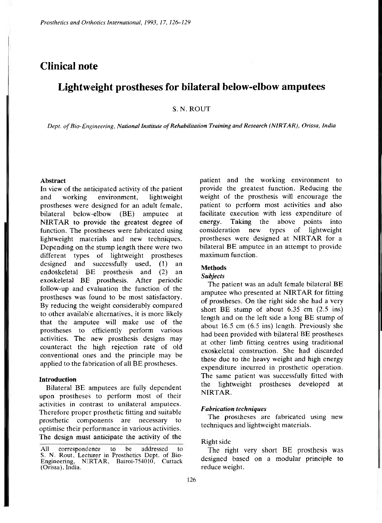# **Clinical note**

# **Lightweight prostheses for bilateral below-elbow amputees**

# S. N. ROUT

*Dept. of Bio-Engineering, National Institute of Rehabilitation Training and Research (NIRTAR), Orissa, India* 

#### **Abstract**

In view of the anticipated activity of the patient and working environment, lightweight prostheses were designed for an adult female, bilateral below-elbow (BE) amputee at NIRTAR to provide the greatest degree of function. The prostheses were fabricated using lightweight materials and new techniques. Depending on the stump length there were two different types of lightweight prostheses designed and successfully used, (1) an endoskeletal BE prosthesis and (2) an exoskeletal BE prosthesis. After periodic follow-up and evaluation the function of the prostheses was found to be most satisfactory. By reducing the weight considerably compared to other available alternatives, it is more likely that the amputee will make use of the prostheses to efficiently perform various activities. The new prosthesis designs may counteract the high rejection rate of old conventional ones and the principle may be applied to the fabrication of all BE prostheses.

### **Introduction**

Bilateral BE amputees are fully dependent upon prostheses to perform most of their activities in contrast to unilateral amputees. Therefore proper prosthetic fitting and suitable prosthetic components are necessary to optimise their performance in various activities. The design must anticipate the activity of the

patient and the working environment to provide the greatest function. Reducing the weight of the prosthesis will encourage the patient to perform most activities and also facilitate execution with less expenditure of energy. Taking the above points into consideration new types of lightweight prostheses were designed at NIRTAR for a bilateral BE amputee in an attempt to provide maximum function.

#### **Methods**

#### *Subjects*

The patient was an adult female bilateral BE amputee who presented at NIRTAR for fitting of prostheses. On the right side she had a very short BE stump of about 6.35 cm (2.5 ins) length and on the left side a long BE stump of about 16.5 cm (6.5 ins) length. Previously she had been provided with bilateral BE prostheses at other limb fitting centres using traditional exoskeletal construction. She had discarded these due to the heavy weight and high energy expenditure incurred in prosthetic operation. The same patient was successfully fitted with the lightweight prostheses developed at NIRTAR.

### *Fabrication techniques*

The prostheses are fabricated using new techniques and lightweight materials.

# Right side

The right very short BE prosthesis was designed based on a modular principle to reduce weight.

All correspondence to be addressed to S. N. Rout, Lecturer in Prosthetics Dept. of Bio-Engineering, NIRTAR, Bairoi-754010, Cuttack (Orissa), India.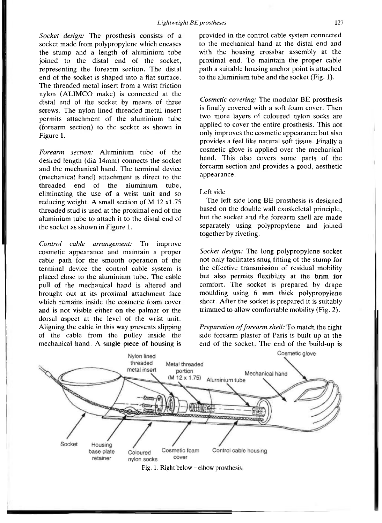*Socket design:* The prosthesis consists of a socket made from polypropylene which encases the stump and a length of aluminium tube joined to the distal end of the socket, representing the forearm section. The distal end of the socket is shaped into a flat surface. The threaded metal insert from a wrist friction nylon (ALIMCO make) is connected at the distal end of the socket by means of three screws. The nylon lined threaded metal insert permits attachment of the aluminium tube (forearm section) to the socket as shown in Figure 1.

*Forearm section:* Aluminium tube of the desired length (dia 14mm) connects the socket and the mechanical hand. The terminal device (mechanical hand) attachment is direct to the threaded end of the aluminium tube, eliminating the use of a wrist unit and so reducing weight. A small section of M 12 x1.75 threaded stud is used at the proximal end of the aluminium tube to attach it to the distal end of the socket as shown in Figure 1.

*Control cable arrangement:* To improve cosmetic appearance and maintain a proper cable path for the smooth operation of the terminal device the control cable system is placed close to the aluminium tube . The cable pull of the mechanical hand is altered and brought out at its proximal attachment face which remains inside the cosmetic foam cover and is not visible either on the palmar or the dorsal aspect at the level of the wrist unit. Aligning the cable in this way prevents slipping of the cable from the pulley inside the mechanical hand. A single piece of housing is

provided in the control cable system connected to the mechanical hand at the distal end and with the housing crossbar assembly at the proximal end. To maintain the proper cable path a suitable housing anchor point is attached to the aluminium tube and the socket (Fig. 1).

*Cosmetic covering:* The modular BE prosthesis is finally covered with a soft foam cover. Then two more layers of coloured nylon socks are applied to cover the entire prosthesis. This not only improves the cosmetic appearance but also provides a feel like natural soft tissue. Finally a cosmetic glove is applied over the mechanical hand. This also covers some parts of the forearm section and provides a good, aesthetic appearance.

### Left side

The left side long BE prosthesis is designed based on the double wall exoskeletal principle, but the socket and the forearm shell are made separately using polypropylene and joined together by riveting.

*Socket design:* The long polypropylene socket not only facilitates snug fitting of the stump for the effective transmission of residual mobility but also permits flexibility at the brim for comfort. The socket is prepared by drape moulding using 6 mm thick polypropylene sheet. After the socket is prepared it is suitably trimmed to allow comfortable mobility (Fig. 2).

*Preparation of forearm shell:* To match the right side forearm plaster of Paris is built up at the end of the socket. The end of the build-up is



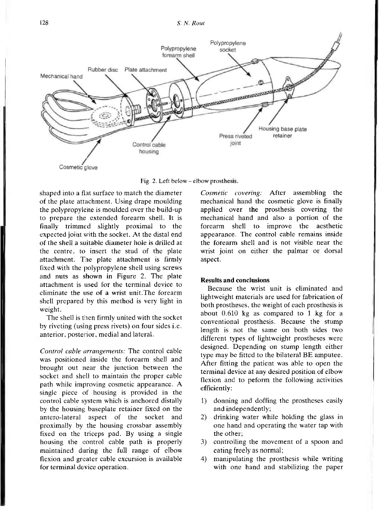

Fig. 2. Left below - elbow prosthesis.

shaped into a flat surface to match the diameter of the plate attachment. Using drape moulding the polypropylene is moulded over the build-up to prepare the extended forearm shell. It is finally trimmed slightly proximal to the expected joint with the socket. At the distal end of the shell a suitable diameter hole is drilled at the centre, to insert the stud of the plate attachment. The plate attachment is firmly fixed with the polypropylene shell using screws and nuts as shown in Figure 2. The plate attachment is used for the terminal device to eliminate the use of a wrist unit. The forearm shell prepared by this method is very light in weight.

The shell is then firmly united with the socket by riveting (using press rivets) on four sides i.e. anterior, posterior, medial and lateral.

*Control cable arrangements:* The control cable was positioned inside the forearm shell and brought out near the junction between the socket and shell to maintain the proper cable path while improving cosmetic appearance. A single piece of housing is provided in the control cable system which is anchored distally by the housing baseplate retainer fixed on the antero-lateral aspect of the socket and proximally by the housing crossbar assembly fixed on the triceps pad. By using a single housing the control cable path is properly maintained during the full range of elbow flexion and greater cable excursion is available for terminal device operation.

*Cosmetic covering:* After assembling the mechanical hand the cosmetic glove is finally applied over the prosthesis covering the mechanical hand and also a portion of the forearm shell to improve the aesthetic appearance. The control cable remains inside the forearm shell and is not visible near the wrist joint on either the palmar or dorsal aspect.

# **Results and conclusions**

Because the wrist unit is eliminated and lightweight materials are used for fabrication of both prostheses, the weight of each prosthesis is about 0.610 kg as compared to 1 kg for a conventional prosthesis. Because the stump length is not the same on both sides two different types of lightweight prostheses were designed. Depending on stump length either type may be fitted to the bilateral BE amputee. After fitting the patient was able to open the terminal device at any desired position of elbow flexion and to peform the following activities efficiently:

- 1) donning and doffing the prostheses easily and independently;
- 2) drinking water while holding the glass in one hand and operating the water tap with the other;
- 3) controlling the movement of a spoon and eating freely as normal;
- 4) manipulating the prosthesis while writing with one hand and stabilizing the paper